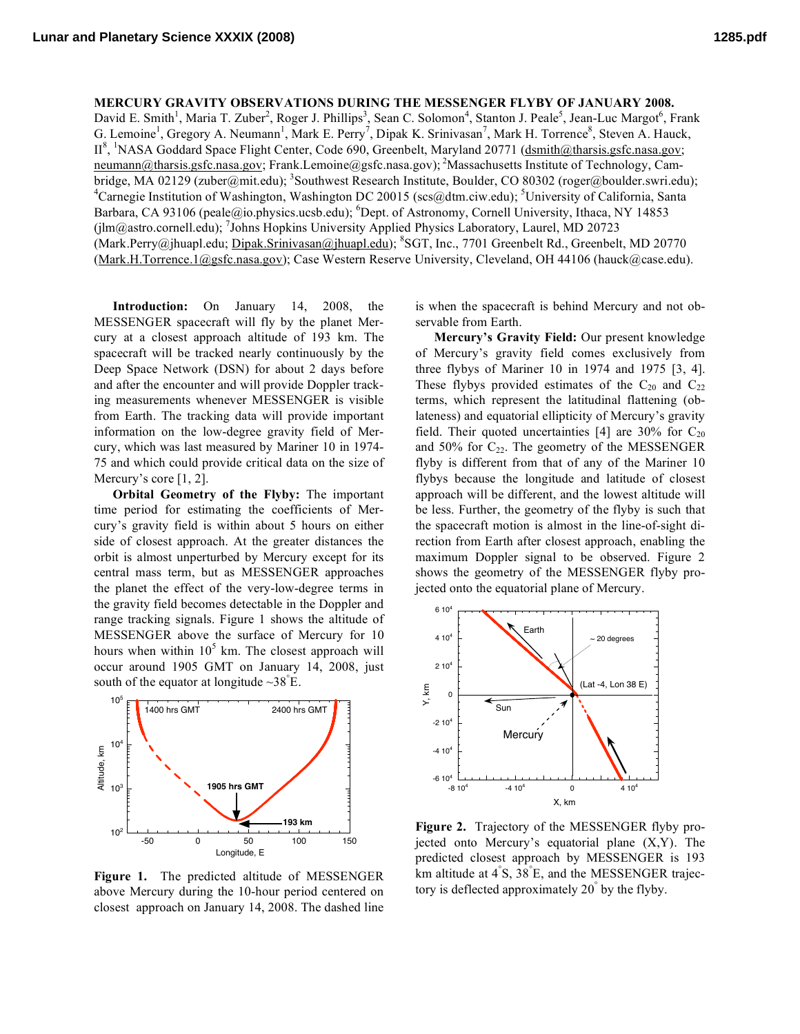**Lunar and Planetary Science XXXIX (2008) 1285.pdf**

## **MERCURY GRAVITY OBSERVATIONS DURING THE MESSENGER FLYBY OF JANUARY 2008.**

David E. Smith<sup>1</sup>, Maria T. Zuber<sup>2</sup>, Roger J. Phillips<sup>3</sup>, Sean C. Solomon<sup>4</sup>, Stanton J. Peale<sup>5</sup>, Jean-Luc Margot<sup>6</sup>, Frank G. Lemoine<sup>1</sup>, Gregory A. Neumann<sup>1</sup>, Mark E. Perry<sup>7</sup>, Dipak K. Srinivasan<sup>7</sup>, Mark H. Torrence<sup>8</sup>, Steven A. Hauck, II<sup>8</sup>, <sup>1</sup>NASA Goddard Space Flight Center, Code 690, Greenbelt, Maryland 20771 (dsmith@tharsis.gsfc.nasa.gov; neumann@tharsis.gsfc.nasa.gov; Frank.Lemoine@gsfc.nasa.gov); <sup>2</sup>Massachusetts Institute of Technology, Cambridge, MA 02129 (zuber@mit.edu); <sup>3</sup>Southwest Research Institute, Boulder, CO 80302 (roger@boulder.swri.edu); <sup>4</sup>Carnegie Institution of Washington, Washington DC 20015 (scs@dtm.ciw.edu); <sup>5</sup>University of California, Santa Barbara, CA 93106 (peale@io.physics.ucsb.edu); <sup>6</sup>Dept. of Astronomy, Cornell University, Ithaca, NY 14853 (jlm@astro.cornell.edu); <sup>7</sup>Johns Hopkins University Applied Physics Laboratory, Laurel, MD 20723 (Mark.Perry@jhuapl.edu; Dipak.Srinivasan@jhuapl.edu); <sup>8</sup>SGT, Inc., 7701 Greenbelt Rd., Greenbelt, MD 20770 (Mark.H.Torrence.1@gsfc.nasa.gov); Case Western Reserve University, Cleveland, OH 44106 (hauck@case.edu).

**Introduction:** On January 14, 2008, the MESSENGER spacecraft will fly by the planet Mercury at a closest approach altitude of 193 km. The spacecraft will be tracked nearly continuously by the Deep Space Network (DSN) for about 2 days before and after the encounter and will provide Doppler tracking measurements whenever MESSENGER is visible from Earth. The tracking data will provide important information on the low-degree gravity field of Mercury, which was last measured by Mariner 10 in 1974- 75 and which could provide critical data on the size of Mercury's core [1, 2].

**Orbital Geometry of the Flyby:** The important time period for estimating the coefficients of Mercury's gravity field is within about 5 hours on either side of closest approach. At the greater distances the orbit is almost unperturbed by Mercury except for its central mass term, but as MESSENGER approaches the planet the effect of the very-low-degree terms in the gravity field becomes detectable in the Doppler and range tracking signals. Figure 1 shows the altitude of MESSENGER above the surface of Mercury for 10 hours when within  $10^5$  km. The closest approach will occur around 1905 GMT on January 14, 2008, just south of the equator at longitude  $\sim 38^\circ$ E.



**Figure 1.** The predicted altitude of MESSENGER above Mercury during the 10-hour period centered on closest approach on January 14, 2008. The dashed line

is when the spacecraft is behind Mercury and not observable from Earth.

**Mercury's Gravity Field:** Our present knowledge of Mercury's gravity field comes exclusively from three flybys of Mariner 10 in 1974 and 1975 [3, 4]. These flybys provided estimates of the  $C_{20}$  and  $C_{22}$ terms, which represent the latitudinal flattening (oblateness) and equatorial ellipticity of Mercury's gravity field. Their quoted uncertainties [4] are 30% for  $C_{20}$ and 50% for  $C_{22}$ . The geometry of the MESSENGER flyby is different from that of any of the Mariner 10 flybys because the longitude and latitude of closest approach will be different, and the lowest altitude will be less. Further, the geometry of the flyby is such that the spacecraft motion is almost in the line-of-sight direction from Earth after closest approach, enabling the maximum Doppler signal to be observed. Figure 2 shows the geometry of the MESSENGER flyby projected onto the equatorial plane of Mercury.



**Figure 2.** Trajectory of the MESSENGER flyby projected onto Mercury's equatorial plane (X,Y). The predicted closest approach by MESSENGER is 193 km altitude at 4° S, 38° E, and the MESSENGER trajectory is deflected approximately 20° by the flyby.